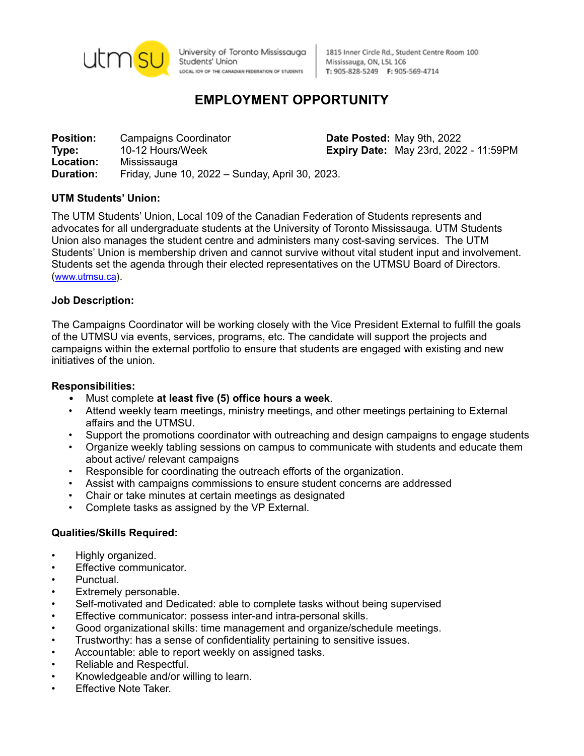

University of Toronto Mississauga Students' Union LOCAL IO9 OF THE CANADIAN FEDERATION OF STUDENTS

1815 Inner Circle Rd., Student Centre Room 100 Mississauga, ON, L5L 1C6 T: 905-828-5249 F: 905-569-4714

# **EMPLOYMENT OPPORTUNITY**

**Position:** Campaigns Coordinator **Date Posted:** May 9th, 2022 **Type:** 10-12 Hours/Week **Expiry Date:** May 23rd, 2022 - 11:59PM **Location:** Mississauga **Duration:** Friday, June 10, 2022 – Sunday, April 30, 2023.

# **UTM Students' Union:**

The UTM Students' Union, Local 109 of the Canadian Federation of Students represents and advocates for all undergraduate students at the University of Toronto Mississauga. UTM Students Union also manages the student centre and administers many cost-saving services. The UTM Students' Union is membership driven and cannot survive without vital student input and involvement. Students set the agenda through their elected representatives on the UTMSU Board of Directors. ([www.utmsu.ca](http://www.utmsu.ca)).

#### **Job Description:**

The Campaigns Coordinator will be working closely with the Vice President External to fulfill the goals of the UTMSU via events, services, programs, etc. The candidate will support the projects and campaigns within the external portfolio to ensure that students are engaged with existing and new initiatives of the union.

#### **Responsibilities:**

- Must complete **at least five (5) office hours a week**.
- Attend weekly team meetings, ministry meetings, and other meetings pertaining to External affairs and the UTMSU.
- Support the promotions coordinator with outreaching and design campaigns to engage students
- Organize weekly tabling sessions on campus to communicate with students and educate them about active/ relevant campaigns
- Responsible for coordinating the outreach efforts of the organization.
- Assist with campaigns commissions to ensure student concerns are addressed
- Chair or take minutes at certain meetings as designated
- Complete tasks as assigned by the VP External.

#### **Qualities/Skills Required:**

- Highly organized.
- Effective communicator.
- Punctual.
- Extremely personable.
- Self-motivated and Dedicated: able to complete tasks without being supervised
- Effective communicator: possess inter-and intra-personal skills.
- Good organizational skills: time management and organize/schedule meetings.
- Trustworthy: has a sense of confidentiality pertaining to sensitive issues.
- Accountable: able to report weekly on assigned tasks.
- Reliable and Respectful.
- Knowledgeable and/or willing to learn.
- **Effective Note Taker.**